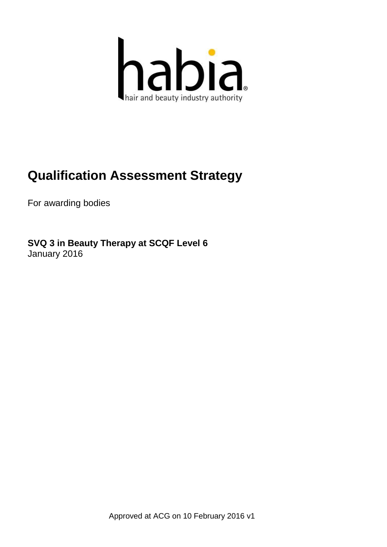

# **Qualification Assessment Strategy**

For awarding bodies

**SVQ 3 in Beauty Therapy at SCQF Level 6** January 2016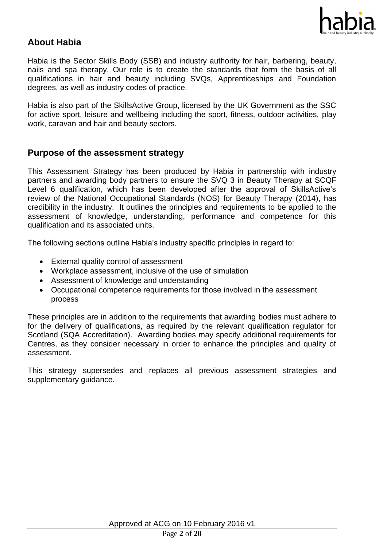

# **About Habia**

Habia is the Sector Skills Body (SSB) and industry authority for hair, barbering, beauty, nails and spa therapy. Our role is to create the standards that form the basis of all qualifications in hair and beauty including SVQs, Apprenticeships and Foundation degrees, as well as industry codes of practice.

Habia is also part of the SkillsActive Group, licensed by the UK Government as the SSC for active sport, leisure and wellbeing including the sport, fitness, outdoor activities, play work, caravan and hair and beauty sectors.

# **Purpose of the assessment strategy**

This Assessment Strategy has been produced by Habia in partnership with industry partners and awarding body partners to ensure the SVQ 3 in Beauty Therapy at SCQF Level 6 qualification, which has been developed after the approval of SkillsActive's review of the National Occupational Standards (NOS) for Beauty Therapy (2014), has credibility in the industry. It outlines the principles and requirements to be applied to the assessment of knowledge, understanding, performance and competence for this qualification and its associated units.

The following sections outline Habia's industry specific principles in regard to:

- External quality control of assessment
- Workplace assessment, inclusive of the use of simulation
- Assessment of knowledge and understanding
- Occupational competence requirements for those involved in the assessment process

These principles are in addition to the requirements that awarding bodies must adhere to for the delivery of qualifications, as required by the relevant qualification regulator for Scotland (SQA Accreditation). Awarding bodies may specify additional requirements for Centres, as they consider necessary in order to enhance the principles and quality of assessment.

This strategy supersedes and replaces all previous assessment strategies and supplementary guidance.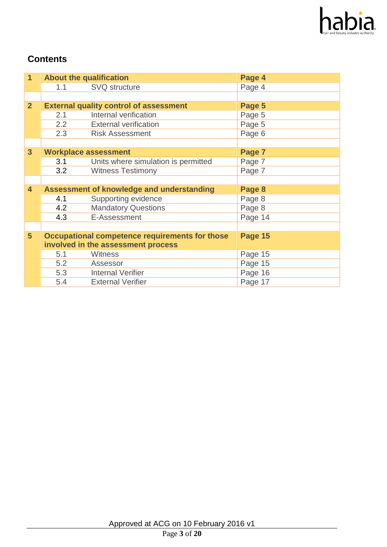

# **Contents**

| $\overline{1}$          | <b>About the qualification</b> |                                                  | Page 4  |
|-------------------------|--------------------------------|--------------------------------------------------|---------|
|                         | 1.1                            | <b>SVQ</b> structure                             | Page 4  |
|                         |                                |                                                  |         |
| 2 <sup>1</sup>          |                                | <b>External quality control of assessment</b>    | Page 5  |
|                         | 2.1                            | Internal verification                            | Page 5  |
|                         | 2.2                            | <b>External verification</b>                     | Page 5  |
|                         | 2.3                            | <b>Risk Assessment</b>                           | Page 6  |
|                         |                                |                                                  |         |
| $\overline{3}$          |                                | <b>Workplace assessment</b>                      | Page 7  |
|                         | 3.1                            | Units where simulation is permitted              | Page 7  |
|                         | 3.2                            | <b>Witness Testimony</b>                         | Page 7  |
|                         |                                |                                                  |         |
| $\overline{\mathbf{4}}$ |                                | <b>Assessment of knowledge and understanding</b> | Page 8  |
|                         | 4.1                            | Supporting evidence                              | Page 8  |
|                         | 4.2                            | <b>Mandatory Questions</b>                       | Page 8  |
|                         | 4.3                            | E-Assessment                                     | Page 14 |
|                         |                                |                                                  |         |
| 5 <sup>5</sup>          |                                | Occupational competence requirements for those   | Page 15 |
|                         |                                | involved in the assessment process               |         |
|                         | 5.1                            | Witness                                          | Page 15 |
|                         | 5.2                            | Assessor                                         | Page 15 |
|                         | 5.3                            | <b>Internal Verifier</b>                         | Page 16 |
|                         | 5.4                            | <b>External Verifier</b>                         | Page 17 |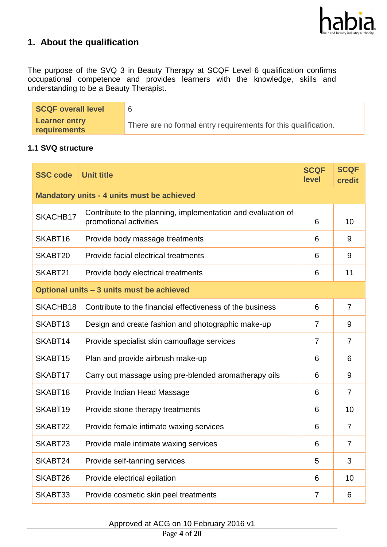

# **1. About the qualification**

The purpose of the SVQ 3 in Beauty Therapy at SCQF Level 6 qualification confirms occupational competence and provides learners with the knowledge, skills and understanding to be a Beauty Therapist.

| <b>SCQF overall level</b>            |                                                                |
|--------------------------------------|----------------------------------------------------------------|
| <b>Learner entry</b><br>requirements | There are no formal entry requirements for this qualification. |

#### **1.1 SVQ structure**

| <b>SSC code</b>     | <b>Unit title</b>                                                                      | <b>SCQF</b><br>level | <b>SCQF</b><br>credit |
|---------------------|----------------------------------------------------------------------------------------|----------------------|-----------------------|
|                     | <b>Mandatory units - 4 units must be achieved</b>                                      |                      |                       |
| SKACHB17            | Contribute to the planning, implementation and evaluation of<br>promotional activities | 6                    | 10                    |
| SKABT <sub>16</sub> | Provide body massage treatments                                                        | 6                    | 9                     |
| SKABT20             | Provide facial electrical treatments                                                   | 6                    | 9                     |
| SKABT21             | Provide body electrical treatments                                                     | 6                    | 11                    |
|                     | Optional units - 3 units must be achieved                                              |                      |                       |
| SKACHB18            | Contribute to the financial effectiveness of the business                              | 6                    | $\overline{7}$        |
| SKABT <sub>13</sub> | Design and create fashion and photographic make-up                                     | 7                    | 9                     |
| SKABT14             | Provide specialist skin camouflage services                                            | $\overline{7}$       | $\overline{7}$        |
| SKABT15             | Plan and provide airbrush make-up                                                      | 6                    | 6                     |
| SKABT17             | Carry out massage using pre-blended aromatherapy oils                                  | 6                    | 9                     |
| SKABT18             | Provide Indian Head Massage                                                            | 6                    | $\overline{7}$        |
| SKABT19             | Provide stone therapy treatments                                                       | 6                    | 10                    |
| SKABT22             | Provide female intimate waxing services                                                | 6                    | $\overline{7}$        |
| SKABT23             | Provide male intimate waxing services                                                  | 6                    | $\overline{7}$        |
| SKABT24             | Provide self-tanning services                                                          | 5                    | 3                     |
| SKABT26             | Provide electrical epilation                                                           | 6                    | 10                    |
| SKABT33             | Provide cosmetic skin peel treatments                                                  | 7                    | 6                     |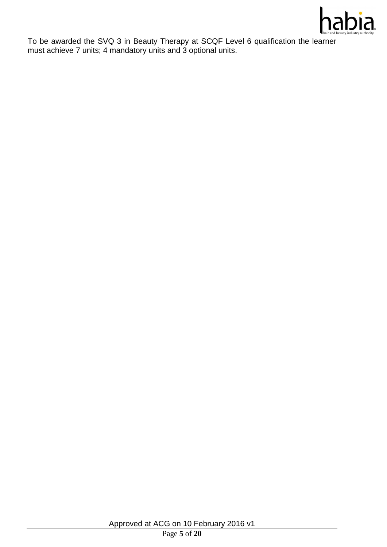

To be awarded the SVQ 3 in Beauty Therapy at SCQF Level 6 qualification the learner must achieve 7 units; 4 mandatory units and 3 optional units.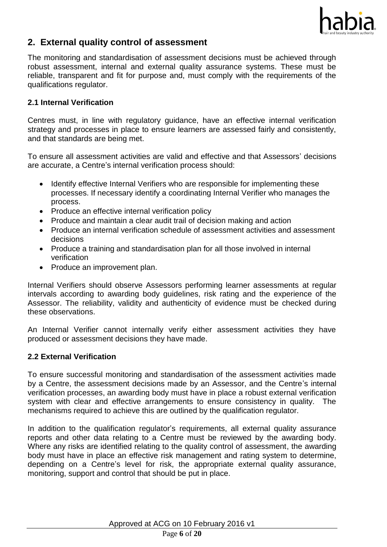

# **2. External quality control of assessment**

The monitoring and standardisation of assessment decisions must be achieved through robust assessment, internal and external quality assurance systems. These must be reliable, transparent and fit for purpose and, must comply with the requirements of the qualifications regulator.

## **2.1 Internal Verification**

Centres must, in line with regulatory guidance, have an effective internal verification strategy and processes in place to ensure learners are assessed fairly and consistently, and that standards are being met.

To ensure all assessment activities are valid and effective and that Assessors' decisions are accurate, a Centre's internal verification process should:

- Identify effective Internal Verifiers who are responsible for implementing these processes. If necessary identify a coordinating Internal Verifier who manages the process.
- Produce an effective internal verification policy
- Produce and maintain a clear audit trail of decision making and action
- Produce an internal verification schedule of assessment activities and assessment decisions
- Produce a training and standardisation plan for all those involved in internal verification
- Produce an improvement plan.

Internal Verifiers should observe Assessors performing learner assessments at regular intervals according to awarding body guidelines, risk rating and the experience of the Assessor. The reliability, validity and authenticity of evidence must be checked during these observations.

An Internal Verifier cannot internally verify either assessment activities they have produced or assessment decisions they have made.

### **2.2 External Verification**

To ensure successful monitoring and standardisation of the assessment activities made by a Centre, the assessment decisions made by an Assessor, and the Centre's internal verification processes, an awarding body must have in place a robust external verification system with clear and effective arrangements to ensure consistency in quality. The mechanisms required to achieve this are outlined by the qualification regulator.

In addition to the qualification regulator's requirements, all external quality assurance reports and other data relating to a Centre must be reviewed by the awarding body. Where any risks are identified relating to the quality control of assessment, the awarding body must have in place an effective risk management and rating system to determine, depending on a Centre's level for risk, the appropriate external quality assurance, monitoring, support and control that should be put in place.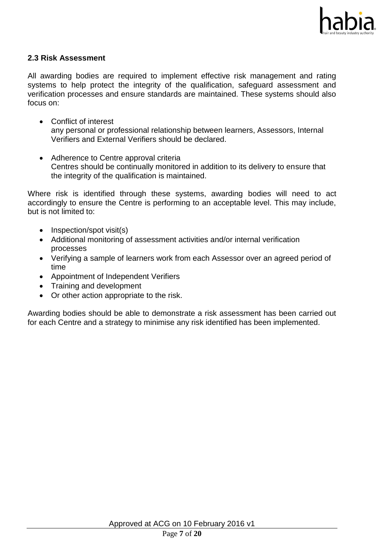

#### **2.3 Risk Assessment**

All awarding bodies are required to implement effective risk management and rating systems to help protect the integrity of the qualification, safeguard assessment and verification processes and ensure standards are maintained. These systems should also focus on:

- Conflict of interest any personal or professional relationship between learners, Assessors, Internal Verifiers and External Verifiers should be declared.
- Adherence to Centre approval criteria Centres should be continually monitored in addition to its delivery to ensure that the integrity of the qualification is maintained.

Where risk is identified through these systems, awarding bodies will need to act accordingly to ensure the Centre is performing to an acceptable level. This may include, but is not limited to:

- $\bullet$  Inspection/spot visit(s)
- Additional monitoring of assessment activities and/or internal verification processes
- Verifying a sample of learners work from each Assessor over an agreed period of time
- Appointment of Independent Verifiers
- Training and development
- Or other action appropriate to the risk.

Awarding bodies should be able to demonstrate a risk assessment has been carried out for each Centre and a strategy to minimise any risk identified has been implemented.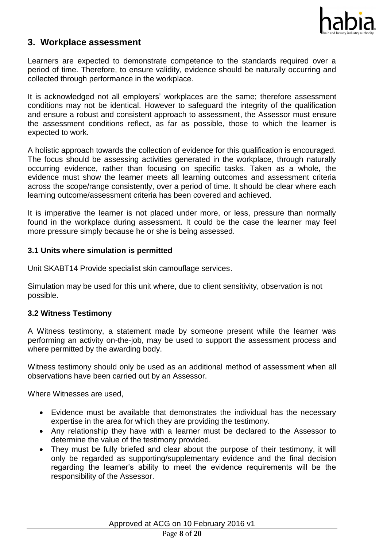

# **3. Workplace assessment**

Learners are expected to demonstrate competence to the standards required over a period of time. Therefore, to ensure validity, evidence should be naturally occurring and collected through performance in the workplace.

It is acknowledged not all employers' workplaces are the same; therefore assessment conditions may not be identical. However to safeguard the integrity of the qualification and ensure a robust and consistent approach to assessment, the Assessor must ensure the assessment conditions reflect, as far as possible, those to which the learner is expected to work.

A holistic approach towards the collection of evidence for this qualification is encouraged. The focus should be assessing activities generated in the workplace, through naturally occurring evidence, rather than focusing on specific tasks. Taken as a whole, the evidence must show the learner meets all learning outcomes and assessment criteria across the scope/range consistently, over a period of time. It should be clear where each learning outcome/assessment criteria has been covered and achieved.

It is imperative the learner is not placed under more, or less, pressure than normally found in the workplace during assessment. It could be the case the learner may feel more pressure simply because he or she is being assessed.

#### **3.1 Units where simulation is permitted**

Unit SKABT14 Provide specialist skin camouflage services.

Simulation may be used for this unit where, due to client sensitivity, observation is not possible.

### **3.2 Witness Testimony**

A Witness testimony, a statement made by someone present while the learner was performing an activity on-the-job, may be used to support the assessment process and where permitted by the awarding body.

Witness testimony should only be used as an additional method of assessment when all observations have been carried out by an Assessor.

Where Witnesses are used,

- Evidence must be available that demonstrates the individual has the necessary expertise in the area for which they are providing the testimony.
- Any relationship they have with a learner must be declared to the Assessor to determine the value of the testimony provided.
- They must be fully briefed and clear about the purpose of their testimony, it will only be regarded as supporting/supplementary evidence and the final decision regarding the learner's ability to meet the evidence requirements will be the responsibility of the Assessor.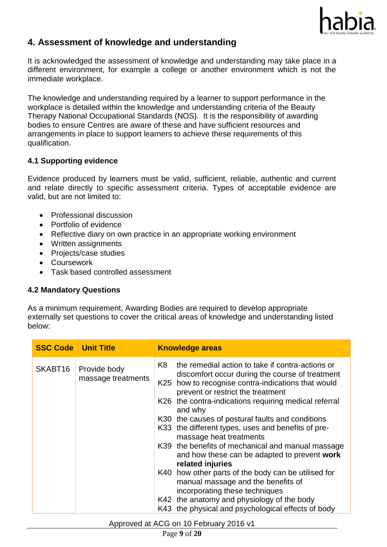

# **4. Assessment of knowledge and understanding**

It is acknowledged the assessment of knowledge and understanding may take place in a different environment, for example a college or another environment which is not the immediate workplace.

The knowledge and understanding required by a learner to support performance in the workplace is detailed within the knowledge and understanding criteria of the Beauty Therapy National Occupational Standards (NOS). It is the responsibility of awarding bodies to ensure Centres are aware of these and have sufficient resources and arrangements in place to support learners to achieve these requirements of this qualification.

## **4.1 Supporting evidence**

Evidence produced by learners must be valid, sufficient, reliable, authentic and current and relate directly to specific assessment criteria. Types of acceptable evidence are valid, but are not limited to:

- Professional discussion
- Portfolio of evidence
- Reflective diary on own practice in an appropriate working environment
- Written assignments
- Projects/case studies
- **•** Coursework
- Task based controlled assessment

# **4.2 Mandatory Questions**

As a minimum requirement, Awarding Bodies are required to develop appropriate externally set questions to cover the critical areas of knowledge and understanding listed below:

| <b>SSC Code   Unit Title</b> |                                    | <b>Knowledge areas</b>                                                                                                                                                                                                                                                                                                                                                                                                                                                                                                                                                                                                                                                                                                                                                    |
|------------------------------|------------------------------------|---------------------------------------------------------------------------------------------------------------------------------------------------------------------------------------------------------------------------------------------------------------------------------------------------------------------------------------------------------------------------------------------------------------------------------------------------------------------------------------------------------------------------------------------------------------------------------------------------------------------------------------------------------------------------------------------------------------------------------------------------------------------------|
| SKABT16                      | Provide body<br>massage treatments | K8<br>the remedial action to take if contra-actions or<br>discomfort occur during the course of treatment<br>K25 how to recognise contra-indications that would<br>prevent or restrict the treatment<br>K26 the contra-indications requiring medical referral<br>and why<br>K30 the causes of postural faults and conditions<br>K33 the different types, uses and benefits of pre-<br>massage heat treatments<br>K39 the benefits of mechanical and manual massage<br>and how these can be adapted to prevent work<br>related injuries<br>K40 how other parts of the body can be utilised for<br>manual massage and the benefits of<br>incorporating these techniques<br>K42 the anatomy and physiology of the body<br>K43 the physical and psychological effects of body |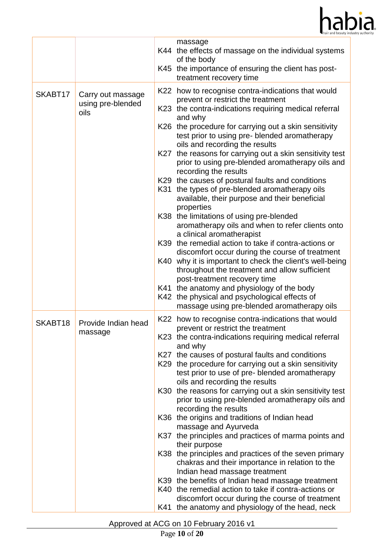

|         |                                                | massage<br>of the body<br>treatment recovery time                                                                                                                                                                                         | K44 the effects of massage on the individual systems<br>K45 the importance of ensuring the client has post-                                                                                                                                                                                                                                                                                                                                                                                                                                                                                                                                                                                                                                                                   |
|---------|------------------------------------------------|-------------------------------------------------------------------------------------------------------------------------------------------------------------------------------------------------------------------------------------------|-------------------------------------------------------------------------------------------------------------------------------------------------------------------------------------------------------------------------------------------------------------------------------------------------------------------------------------------------------------------------------------------------------------------------------------------------------------------------------------------------------------------------------------------------------------------------------------------------------------------------------------------------------------------------------------------------------------------------------------------------------------------------------|
| SKABT17 | Carry out massage<br>using pre-blended<br>oils | prevent or restrict the treatment<br>and why<br>oils and recording the results<br>recording the results<br>properties<br>K38 the limitations of using pre-blended<br>a clinical aromatherapist<br>post-treatment recovery time            | K22 how to recognise contra-indications that would<br>K23 the contra-indications requiring medical referral<br>K26 the procedure for carrying out a skin sensitivity<br>test prior to using pre- blended aromatherapy<br>K27 the reasons for carrying out a skin sensitivity test<br>prior to using pre-blended aromatherapy oils and<br>K29 the causes of postural faults and conditions<br>K31 the types of pre-blended aromatherapy oils<br>available, their purpose and their beneficial<br>aromatherapy oils and when to refer clients onto<br>K39 the remedial action to take if contra-actions or<br>discomfort occur during the course of treatment<br>K40 why it is important to check the client's well-being<br>throughout the treatment and allow sufficient      |
|         |                                                | K41 the anatomy and physiology of the body<br>K42 the physical and psychological effects of                                                                                                                                               | massage using pre-blended aromatherapy oils                                                                                                                                                                                                                                                                                                                                                                                                                                                                                                                                                                                                                                                                                                                                   |
| SKABT18 | Provide Indian head<br>massage                 | prevent or restrict the treatment<br>and why<br>oils and recording the results<br>recording the results<br>K36 the origins and traditions of Indian head<br>massage and Ayurveda<br>their purpose<br>Indian head massage treatment<br>K41 | K22 how to recognise contra-indications that would<br>K23 the contra-indications requiring medical referral<br>K27 the causes of postural faults and conditions<br>K29 the procedure for carrying out a skin sensitivity<br>test prior to use of pre-blended aromatherapy<br>K30 the reasons for carrying out a skin sensitivity test<br>prior to using pre-blended aromatherapy oils and<br>K37 the principles and practices of marma points and<br>K38 the principles and practices of the seven primary<br>chakras and their importance in relation to the<br>K39 the benefits of Indian head massage treatment<br>K40 the remedial action to take if contra-actions or<br>discomfort occur during the course of treatment<br>the anatomy and physiology of the head, neck |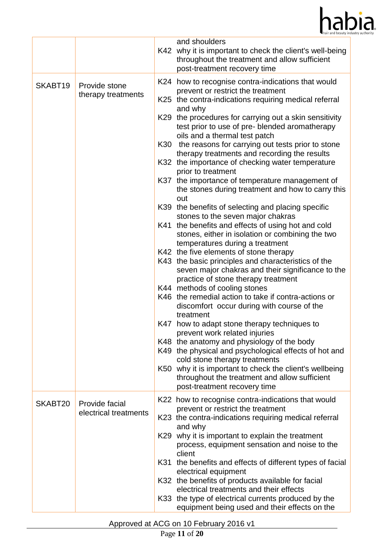

|         |                                         |     | and shoulders<br>K42 why it is important to check the client's well-being<br>throughout the treatment and allow sufficient<br>post-treatment recovery time                                                                                                                                                                                                                                                                                                                                                                                                                                                                                                                                                                                                                                                                                                                                                                                                                                                                                                                                                                                                                                                                                                                                                                                                                                                                                                                                                                           |
|---------|-----------------------------------------|-----|--------------------------------------------------------------------------------------------------------------------------------------------------------------------------------------------------------------------------------------------------------------------------------------------------------------------------------------------------------------------------------------------------------------------------------------------------------------------------------------------------------------------------------------------------------------------------------------------------------------------------------------------------------------------------------------------------------------------------------------------------------------------------------------------------------------------------------------------------------------------------------------------------------------------------------------------------------------------------------------------------------------------------------------------------------------------------------------------------------------------------------------------------------------------------------------------------------------------------------------------------------------------------------------------------------------------------------------------------------------------------------------------------------------------------------------------------------------------------------------------------------------------------------------|
| SKABT19 | Provide stone<br>therapy treatments     | K37 | K24 how to recognise contra-indications that would<br>prevent or restrict the treatment<br>K25 the contra-indications requiring medical referral<br>and why<br>K29 the procedures for carrying out a skin sensitivity<br>test prior to use of pre- blended aromatherapy<br>oils and a thermal test patch<br>K30 the reasons for carrying out tests prior to stone<br>therapy treatments and recording the results<br>K32 the importance of checking water temperature<br>prior to treatment<br>the importance of temperature management of<br>the stones during treatment and how to carry this<br>out<br>K39 the benefits of selecting and placing specific<br>stones to the seven major chakras<br>K41 the benefits and effects of using hot and cold<br>stones, either in isolation or combining the two<br>temperatures during a treatment<br>K42 the five elements of stone therapy<br>K43 the basic principles and characteristics of the<br>seven major chakras and their significance to the<br>practice of stone therapy treatment<br>K44 methods of cooling stones<br>K46 the remedial action to take if contra-actions or<br>discomfort occur during with course of the<br>treatment<br>K47 how to adapt stone therapy techniques to<br>prevent work related injuries<br>K48 the anatomy and physiology of the body<br>K49 the physical and psychological effects of hot and<br>cold stone therapy treatments<br>K50 why it is important to check the client's wellbeing<br>throughout the treatment and allow sufficient |
| SKABT20 | Provide facial<br>electrical treatments |     | post-treatment recovery time<br>K22 how to recognise contra-indications that would<br>prevent or restrict the treatment<br>K23 the contra-indications requiring medical referral<br>and why<br>K29 why it is important to explain the treatment                                                                                                                                                                                                                                                                                                                                                                                                                                                                                                                                                                                                                                                                                                                                                                                                                                                                                                                                                                                                                                                                                                                                                                                                                                                                                      |
|         |                                         | K31 | process, equipment sensation and noise to the<br>client<br>the benefits and effects of different types of facial<br>electrical equipment<br>K32 the benefits of products available for facial<br>electrical treatments and their effects<br>K33 the type of electrical currents produced by the<br>equipment being used and their effects on the                                                                                                                                                                                                                                                                                                                                                                                                                                                                                                                                                                                                                                                                                                                                                                                                                                                                                                                                                                                                                                                                                                                                                                                     |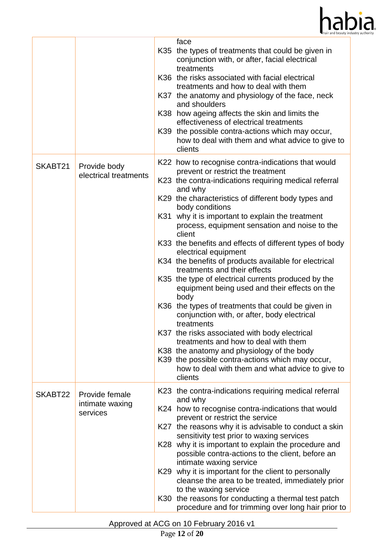

|         |                                               | face                                                                                                                                                                                                                                                                                                                                                                                                                                                                                                                                                                                                                                                                                                                                                                                                                                                                                                                                                                                                                     |
|---------|-----------------------------------------------|--------------------------------------------------------------------------------------------------------------------------------------------------------------------------------------------------------------------------------------------------------------------------------------------------------------------------------------------------------------------------------------------------------------------------------------------------------------------------------------------------------------------------------------------------------------------------------------------------------------------------------------------------------------------------------------------------------------------------------------------------------------------------------------------------------------------------------------------------------------------------------------------------------------------------------------------------------------------------------------------------------------------------|
|         |                                               | the types of treatments that could be given in<br>K35<br>conjunction with, or after, facial electrical<br>treatments<br>K36 the risks associated with facial electrical<br>treatments and how to deal with them<br>K37 the anatomy and physiology of the face, neck<br>and shoulders<br>K38 how ageing affects the skin and limits the<br>effectiveness of electrical treatments<br>K39 the possible contra-actions which may occur,<br>how to deal with them and what advice to give to<br>clients                                                                                                                                                                                                                                                                                                                                                                                                                                                                                                                      |
| SKABT21 | Provide body<br>electrical treatments         | K22 how to recognise contra-indications that would<br>prevent or restrict the treatment<br>K23 the contra-indications requiring medical referral<br>and why<br>K29 the characteristics of different body types and<br>body conditions<br>why it is important to explain the treatment<br>K31<br>process, equipment sensation and noise to the<br>client<br>K33 the benefits and effects of different types of body<br>electrical equipment<br>K34 the benefits of products available for electrical<br>treatments and their effects<br>K35 the type of electrical currents produced by the<br>equipment being used and their effects on the<br>body<br>the types of treatments that could be given in<br>K36<br>conjunction with, or after, body electrical<br>treatments<br>K37 the risks associated with body electrical<br>treatments and how to deal with them<br>K38 the anatomy and physiology of the body<br>K39 the possible contra-actions which may occur,<br>how to deal with them and what advice to give to |
| SKABT22 | Provide female<br>intimate waxing<br>services | clients<br>K23 the contra-indications requiring medical referral<br>and why<br>K24 how to recognise contra-indications that would<br>prevent or restrict the service<br>the reasons why it is advisable to conduct a skin<br>K27<br>sensitivity test prior to waxing services<br>K28 why it is important to explain the procedure and<br>possible contra-actions to the client, before an<br>intimate waxing service<br>why it is important for the client to personally<br>K29<br>cleanse the area to be treated, immediately prior<br>to the waxing service<br>the reasons for conducting a thermal test patch<br>K30<br>procedure and for trimming over long hair prior to                                                                                                                                                                                                                                                                                                                                            |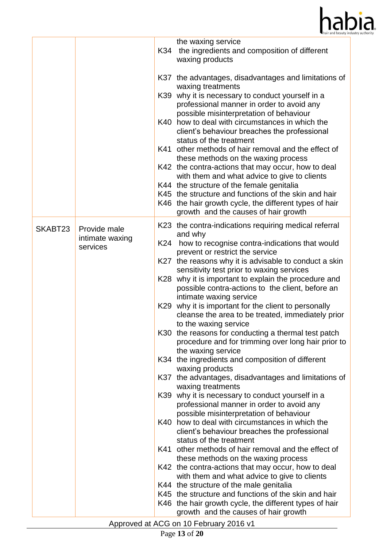

|         |                             | K34  | the waxing service<br>the ingredients and composition of different<br>waxing products                                                                             |
|---------|-----------------------------|------|-------------------------------------------------------------------------------------------------------------------------------------------------------------------|
|         |                             |      | K37 the advantages, disadvantages and limitations of<br>waxing treatments                                                                                         |
|         |                             | K39  | why it is necessary to conduct yourself in a<br>professional manner in order to avoid any                                                                         |
|         |                             | K40  | possible misinterpretation of behaviour<br>how to deal with circumstances in which the<br>client's behaviour breaches the professional<br>status of the treatment |
|         |                             | K41  | other methods of hair removal and the effect of<br>these methods on the waxing process                                                                            |
|         |                             |      | K42 the contra-actions that may occur, how to deal<br>with them and what advice to give to clients                                                                |
|         |                             |      | K44 the structure of the female genitalia                                                                                                                         |
|         |                             |      | K45 the structure and functions of the skin and hair<br>K46 the hair growth cycle, the different types of hair<br>growth and the causes of hair growth            |
| SKABT23 | Provide male                |      | K23 the contra-indications requiring medical referral<br>and why                                                                                                  |
|         | intimate waxing<br>services | K24  | how to recognise contra-indications that would<br>prevent or restrict the service                                                                                 |
|         |                             |      | K27 the reasons why it is advisable to conduct a skin<br>sensitivity test prior to waxing services                                                                |
|         |                             |      | K28 why it is important to explain the procedure and<br>possible contra-actions to the client, before an<br>intimate waxing service                               |
|         |                             | K29  | why it is important for the client to personally<br>cleanse the area to be treated, immediately prior<br>to the waxing service                                    |
|         |                             |      | K30 the reasons for conducting a thermal test patch<br>procedure and for trimming over long hair prior to<br>the waxing service                                   |
|         |                             |      | K34 the ingredients and composition of different<br>waxing products                                                                                               |
|         |                             |      | K37 the advantages, disadvantages and limitations of<br>waxing treatments                                                                                         |
|         |                             | K39  | why it is necessary to conduct yourself in a                                                                                                                      |
|         |                             |      | professional manner in order to avoid any<br>possible misinterpretation of behaviour                                                                              |
|         |                             | K40. | how to deal with circumstances in which the<br>client's behaviour breaches the professional<br>status of the treatment                                            |
|         |                             | K41  | other methods of hair removal and the effect of<br>these methods on the waxing process                                                                            |
|         |                             |      | K42 the contra-actions that may occur, how to deal<br>with them and what advice to give to clients                                                                |
|         |                             |      | K44 the structure of the male genitalia                                                                                                                           |
|         |                             |      | K45 the structure and functions of the skin and hair                                                                                                              |
|         |                             |      | K46 the hair growth cycle, the different types of hair<br>growth and the causes of hair growth                                                                    |
|         |                             |      | Approved at ACG on 10 February 2016 v1                                                                                                                            |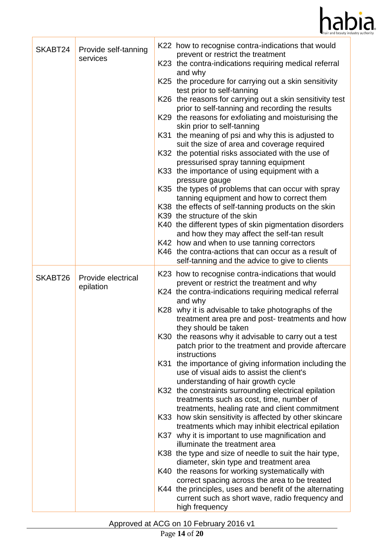

| SKABT24 | Provide self-tanning<br>services | K22 how to recognise contra-indications that would<br>prevent or restrict the treatment<br>K23 the contra-indications requiring medical referral<br>and why<br>K25 the procedure for carrying out a skin sensitivity<br>test prior to self-tanning<br>K26 the reasons for carrying out a skin sensitivity test<br>prior to self-tanning and recording the results<br>K29 the reasons for exfoliating and moisturising the<br>skin prior to self-tanning<br>the meaning of psi and why this is adjusted to<br>K31<br>suit the size of area and coverage required<br>K32 the potential risks associated with the use of<br>pressurised spray tanning equipment<br>K33 the importance of using equipment with a<br>pressure gauge<br>K35 the types of problems that can occur with spray<br>tanning equipment and how to correct them<br>K38 the effects of self-tanning products on the skin<br>K39 the structure of the skin<br>K40 the different types of skin pigmentation disorders<br>and how they may affect the self-tan result<br>K42 how and when to use tanning correctors<br>K46 the contra-actions that can occur as a result of<br>self-tanning and the advice to give to clients                                                                                           |
|---------|----------------------------------|----------------------------------------------------------------------------------------------------------------------------------------------------------------------------------------------------------------------------------------------------------------------------------------------------------------------------------------------------------------------------------------------------------------------------------------------------------------------------------------------------------------------------------------------------------------------------------------------------------------------------------------------------------------------------------------------------------------------------------------------------------------------------------------------------------------------------------------------------------------------------------------------------------------------------------------------------------------------------------------------------------------------------------------------------------------------------------------------------------------------------------------------------------------------------------------------------------------------------------------------------------------------------------------|
| SKABT26 | Provide electrical<br>epilation  | K23 how to recognise contra-indications that would<br>prevent or restrict the treatment and why<br>K24 the contra-indications requiring medical referral<br>and why<br>K28 why it is advisable to take photographs of the<br>treatment area pre and post-treatments and how<br>they should be taken<br>K30 the reasons why it advisable to carry out a test<br>patch prior to the treatment and provide aftercare<br>instructions<br>the importance of giving information including the<br>K31<br>use of visual aids to assist the client's<br>understanding of hair growth cycle<br>K32 the constraints surrounding electrical epilation<br>treatments such as cost, time, number of<br>treatments, healing rate and client commitment<br>K33 how skin sensitivity is affected by other skincare<br>treatments which may inhibit electrical epilation<br>why it is important to use magnification and<br>K37<br>illuminate the treatment area<br>K38 the type and size of needle to suit the hair type,<br>diameter, skin type and treatment area<br>K40 the reasons for working systematically with<br>correct spacing across the area to be treated<br>K44 the principles, uses and benefit of the alternating<br>current such as short wave, radio frequency and<br>high frequency |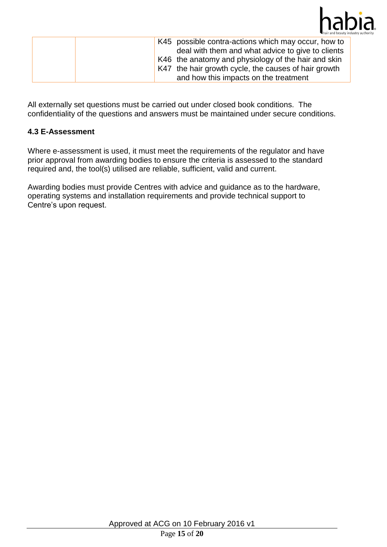

| K45 possible contra-actions which may occur, how to<br>deal with them and what advice to give to clients<br>K46 the anatomy and physiology of the hair and skin<br>K47 the hair growth cycle, the causes of hair growth |
|-------------------------------------------------------------------------------------------------------------------------------------------------------------------------------------------------------------------------|
| and how this impacts on the treatment                                                                                                                                                                                   |

All externally set questions must be carried out under closed book conditions. The confidentiality of the questions and answers must be maintained under secure conditions.

## **4.3 E-Assessment**

Where e-assessment is used, it must meet the requirements of the regulator and have prior approval from awarding bodies to ensure the criteria is assessed to the standard required and, the tool(s) utilised are reliable, sufficient, valid and current.

Awarding bodies must provide Centres with advice and guidance as to the hardware, operating systems and installation requirements and provide technical support to Centre's upon request.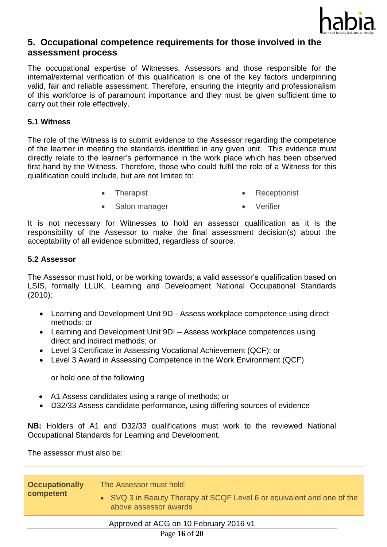

# **5. Occupational competence requirements for those involved in the assessment process**

The occupational expertise of Witnesses, Assessors and those responsible for the internal/external verification of this qualification is one of the key factors underpinning valid, fair and reliable assessment. Therefore, ensuring the integrity and professionalism of this workforce is of paramount importance and they must be given sufficient time to carry out their role effectively.

#### **5.1 Witness**

The role of the Witness is to submit evidence to the Assessor regarding the competence of the learner in meeting the standards identified in any given unit. This evidence must directly relate to the learner's performance in the work place which has been observed first hand by the Witness. Therefore, those who could fulfil the role of a Witness for this qualification could include, but are not limited to:

- Therapist **Receptionist** Receptionist
- Salon manager **•** Verifier
- 

It is not necessary for Witnesses to hold an assessor qualification as it is the responsibility of the Assessor to make the final assessment decision(s) about the acceptability of all evidence submitted, regardless of source.

#### **5.2 Assessor**

The Assessor must hold, or be working towards; a valid assessor's qualification based on LSIS, formally LLUK, Learning and Development National Occupational Standards (2010):

- Learning and Development Unit 9D Assess workplace competence using direct methods; or
- Learning and Development Unit 9DI Assess workplace competences using direct and indirect methods; or
- Level 3 Certificate in Assessing Vocational Achievement (QCF); or
- Level 3 Award in Assessing Competence in the Work Environment (QCF)

or hold one of the following

- A1 Assess candidates using a range of methods; or
- D32/33 Assess candidate performance, using differing sources of evidence

**NB:** Holders of A1 and D32/33 qualifications must work to the reviewed National Occupational Standards for Learning and Development.

The assessor must also be:

| <b>Occupationally</b><br>competent | The Assessor must hold:<br>• SVQ 3 in Beauty Therapy at SCQF Level 6 or equivalent and one of the<br>above assessor awards |
|------------------------------------|----------------------------------------------------------------------------------------------------------------------------|
|                                    | Approved at ACG on 10 February 2016 v1<br>Page 16 of 20                                                                    |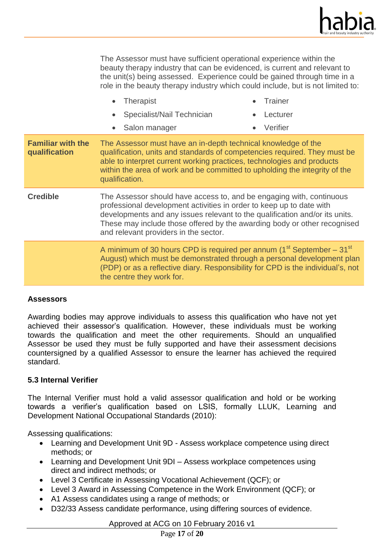

The Assessor must have sufficient operational experience within the beauty therapy industry that can be evidenced, is current and relevant to the unit(s) being assessed. Experience could be gained through time in a role in the beauty therapy industry which could include, but is not limited to:

|                                           | <b>Therapist</b><br>Specialist/Nail Technician<br>Salon manager                                                                                                                                                                                                                                                                                  | Trainer<br>Lecturer<br>Verifier |
|-------------------------------------------|--------------------------------------------------------------------------------------------------------------------------------------------------------------------------------------------------------------------------------------------------------------------------------------------------------------------------------------------------|---------------------------------|
| <b>Familiar with the</b><br>qualification | The Assessor must have an in-depth technical knowledge of the<br>qualification, units and standards of competencies required. They must be<br>able to interpret current working practices, technologies and products<br>within the area of work and be committed to upholding the integrity of the<br>qualification.                             |                                 |
| <b>Credible</b>                           | The Assessor should have access to, and be engaging with, continuous<br>professional development activities in order to keep up to date with<br>developments and any issues relevant to the qualification and/or its units.<br>These may include those offered by the awarding body or other recognised<br>and relevant providers in the sector. |                                 |
|                                           | A minimum of 30 hours CPD is required per annum $(1st September – 31st$<br>August) which must be demonstrated through a personal development plan<br>(PDP) or as a reflective diary. Responsibility for CPD is the individual's, not<br>the centre they work for.                                                                                |                                 |

#### **Assessors**

Awarding bodies may approve individuals to assess this qualification who have not yet achieved their assessor's qualification. However, these individuals must be working towards the qualification and meet the other requirements. Should an unqualified Assessor be used they must be fully supported and have their assessment decisions countersigned by a qualified Assessor to ensure the learner has achieved the required standard.

#### **5.3 Internal Verifier**

The Internal Verifier must hold a valid assessor qualification and hold or be working towards a verifier's qualification based on LSIS, formally LLUK, Learning and Development National Occupational Standards (2010):

Assessing qualifications:

- Learning and Development Unit 9D Assess workplace competence using direct methods; or
- Learning and Development Unit 9DI Assess workplace competences using direct and indirect methods; or
- Level 3 Certificate in Assessing Vocational Achievement (QCF); or
- Level 3 Award in Assessing Competence in the Work Environment (QCF); or
- A1 Assess candidates using a range of methods; or
- D32/33 Assess candidate performance, using differing sources of evidence.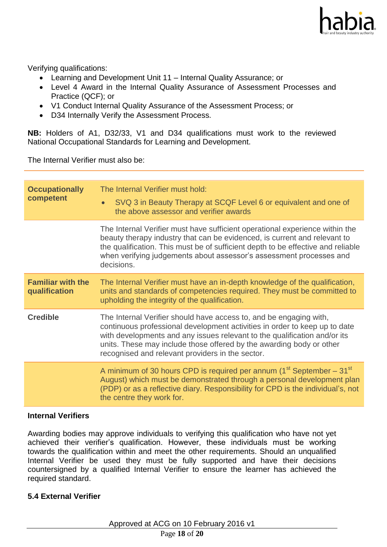

Verifying qualifications:

- Learning and Development Unit 11 Internal Quality Assurance; or
- Level 4 Award in the Internal Quality Assurance of Assessment Processes and Practice (QCF); or
- V1 Conduct Internal Quality Assurance of the Assessment Process; or
- D34 Internally Verify the Assessment Process.

**NB:** Holders of A1, D32/33, V1 and D34 qualifications must work to the reviewed National Occupational Standards for Learning and Development.

The Internal Verifier must also be:

| The Internal Verifier must hold:<br>SVQ 3 in Beauty Therapy at SCQF Level 6 or equivalent and one of<br>the above assessor and verifier awards                                                                                                                                                                                                            |
|-----------------------------------------------------------------------------------------------------------------------------------------------------------------------------------------------------------------------------------------------------------------------------------------------------------------------------------------------------------|
| The Internal Verifier must have sufficient operational experience within the<br>beauty therapy industry that can be evidenced, is current and relevant to<br>the qualification. This must be of sufficient depth to be effective and reliable<br>when verifying judgements about assessor's assessment processes and<br>decisions.                        |
| The Internal Verifier must have an in-depth knowledge of the qualification,<br>units and standards of competencies required. They must be committed to<br>upholding the integrity of the qualification.                                                                                                                                                   |
| The Internal Verifier should have access to, and be engaging with,<br>continuous professional development activities in order to keep up to date<br>with developments and any issues relevant to the qualification and/or its<br>units. These may include those offered by the awarding body or other<br>recognised and relevant providers in the sector. |
| A minimum of 30 hours CPD is required per annum $(1st September – 31st$<br>August) which must be demonstrated through a personal development plan<br>(PDP) or as a reflective diary. Responsibility for CPD is the individual's, not<br>the centre they work for.                                                                                         |
|                                                                                                                                                                                                                                                                                                                                                           |

#### **Internal Verifiers**

Awarding bodies may approve individuals to verifying this qualification who have not yet achieved their verifier's qualification. However, these individuals must be working towards the qualification within and meet the other requirements. Should an unqualified Internal Verifier be used they must be fully supported and have their decisions countersigned by a qualified Internal Verifier to ensure the learner has achieved the required standard.

#### **5.4 External Verifier**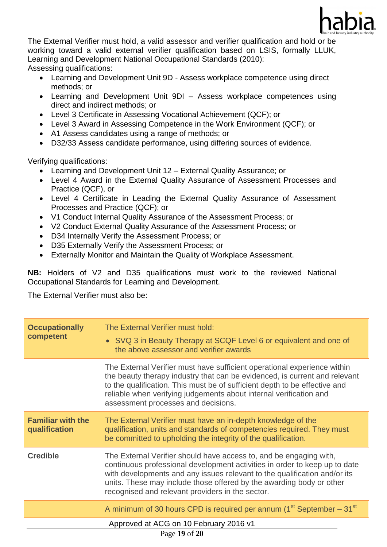

The External Verifier must hold, a valid assessor and verifier qualification and hold or be working toward a valid external verifier qualification based on LSIS, formally LLUK, Learning and Development National Occupational Standards (2010): Assessing qualifications:

- Learning and Development Unit 9D Assess workplace competence using direct methods; or
- Learning and Development Unit 9DI Assess workplace competences using direct and indirect methods; or
- Level 3 Certificate in Assessing Vocational Achievement (QCF); or
- Level 3 Award in Assessing Competence in the Work Environment (QCF); or
- A1 Assess candidates using a range of methods; or
- D32/33 Assess candidate performance, using differing sources of evidence.

Verifying qualifications:

- Learning and Development Unit 12 External Quality Assurance; or
- Level 4 Award in the External Quality Assurance of Assessment Processes and Practice (QCF), or
- Level 4 Certificate in Leading the External Quality Assurance of Assessment Processes and Practice (QCF); or
- V1 Conduct Internal Quality Assurance of the Assessment Process; or
- V2 Conduct External Quality Assurance of the Assessment Process; or
- D34 Internally Verify the Assessment Process; or
- D35 Externally Verify the Assessment Process; or
- Externally Monitor and Maintain the Quality of Workplace Assessment.

**NB:** Holders of V2 and D35 qualifications must work to the reviewed National Occupational Standards for Learning and Development.

The External Verifier must also be:

| <b>Occupationally</b><br>competent                      | The External Verifier must hold:<br>• SVQ 3 in Beauty Therapy at SCQF Level 6 or equivalent and one of<br>the above assessor and verifier awards                                                                                                                                                                                                          |
|---------------------------------------------------------|-----------------------------------------------------------------------------------------------------------------------------------------------------------------------------------------------------------------------------------------------------------------------------------------------------------------------------------------------------------|
|                                                         | The External Verifier must have sufficient operational experience within<br>the beauty therapy industry that can be evidenced, is current and relevant<br>to the qualification. This must be of sufficient depth to be effective and<br>reliable when verifying judgements about internal verification and<br>assessment processes and decisions.         |
| <b>Familiar with the</b><br>qualification               | The External Verifier must have an in-depth knowledge of the<br>qualification, units and standards of competencies required. They must<br>be committed to upholding the integrity of the qualification.                                                                                                                                                   |
| <b>Credible</b>                                         | The External Verifier should have access to, and be engaging with,<br>continuous professional development activities in order to keep up to date<br>with developments and any issues relevant to the qualification and/or its<br>units. These may include those offered by the awarding body or other<br>recognised and relevant providers in the sector. |
|                                                         | A minimum of 30 hours CPD is required per annum (1 <sup>st</sup> September - 31 <sup>st</sup>                                                                                                                                                                                                                                                             |
| Approved at ACG on 10 February 2016 v1<br>Page 19 of 20 |                                                                                                                                                                                                                                                                                                                                                           |